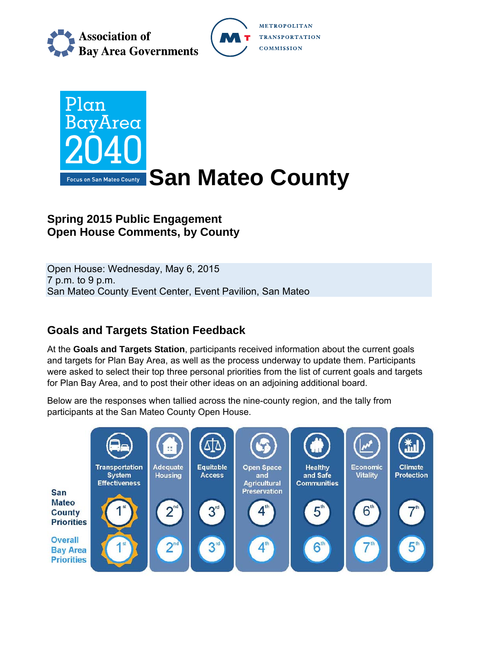

METROPOLITAN **TRANSPORTATION COMMISSION** 



# **Spring 2015 Public Engagement Open House Comments, by County**

Open House: Wednesday, May 6, 2015 7 p.m. to 9 p.m. San Mateo County Event Center, Event Pavilion, San Mateo

# **Goals and Targets Station Feedback**

At the **Goals and Targets Station**, participants received information about the current goals and targets for Plan Bay Area, as well as the process underway to update them. Participants were asked to select their top three personal priorities from the list of current goals and targets for Plan Bay Area, and to post their other ideas on an adjoining additional board.

Below are the responses when tallied across the nine-county region, and the tally from participants at the San Mateo County Open House.

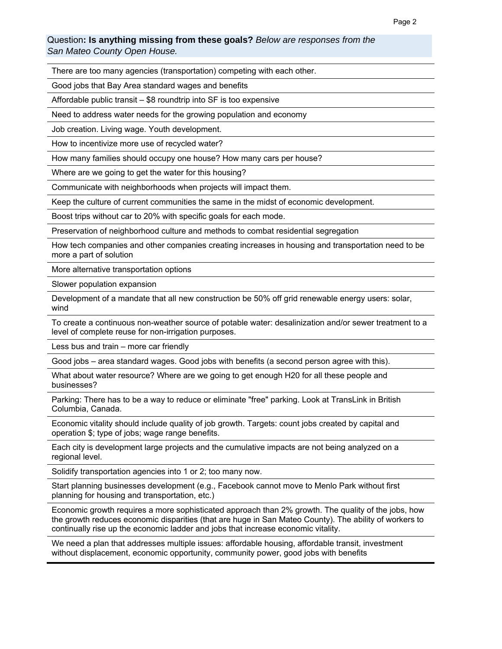#### Question**: Is anything missing from these goals?** *Below are responses from the San Mateo County Open House.*

There are too many agencies (transportation) competing with each other.

Good jobs that Bay Area standard wages and benefits

Affordable public transit – \$8 roundtrip into SF is too expensive

Need to address water needs for the growing population and economy

Job creation. Living wage. Youth development.

How to incentivize more use of recycled water?

How many families should occupy one house? How many cars per house?

Where are we going to get the water for this housing?

Communicate with neighborhoods when projects will impact them.

Keep the culture of current communities the same in the midst of economic development.

Boost trips without car to 20% with specific goals for each mode.

Preservation of neighborhood culture and methods to combat residential segregation

How tech companies and other companies creating increases in housing and transportation need to be more a part of solution

More alternative transportation options

Slower population expansion

Development of a mandate that all new construction be 50% off grid renewable energy users: solar, wind

To create a continuous non-weather source of potable water: desalinization and/or sewer treatment to a level of complete reuse for non-irrigation purposes.

Less bus and train – more car friendly

Good jobs – area standard wages. Good jobs with benefits (a second person agree with this).

What about water resource? Where are we going to get enough H20 for all these people and businesses?

Parking: There has to be a way to reduce or eliminate "free" parking. Look at TransLink in British Columbia, Canada.

Economic vitality should include quality of job growth. Targets: count jobs created by capital and operation \$; type of jobs; wage range benefits.

Each city is development large projects and the cumulative impacts are not being analyzed on a regional level.

Solidify transportation agencies into 1 or 2; too many now.

Start planning businesses development (e.g., Facebook cannot move to Menlo Park without first planning for housing and transportation, etc.)

Economic growth requires a more sophisticated approach than 2% growth. The quality of the jobs, how the growth reduces economic disparities (that are huge in San Mateo County). The ability of workers to continually rise up the economic ladder and jobs that increase economic vitality.

We need a plan that addresses multiple issues: affordable housing, affordable transit, investment without displacement, economic opportunity, community power, good jobs with benefits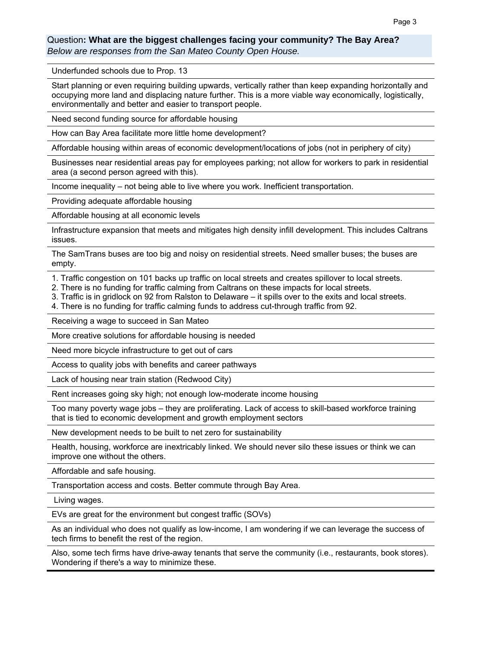### Question**: What are the biggest challenges facing your community? The Bay Area?**

*Below are responses from the San Mateo County Open House.* 

Underfunded schools due to Prop. 13

Start planning or even requiring building upwards, vertically rather than keep expanding horizontally and occupying more land and displacing nature further. This is a more viable way economically, logistically, environmentally and better and easier to transport people.

Need second funding source for affordable housing

How can Bay Area facilitate more little home development?

Affordable housing within areas of economic development/locations of jobs (not in periphery of city)

Businesses near residential areas pay for employees parking; not allow for workers to park in residential area (a second person agreed with this).

Income inequality – not being able to live where you work. Inefficient transportation.

Providing adequate affordable housing

Affordable housing at all economic levels

Infrastructure expansion that meets and mitigates high density infill development. This includes Caltrans issues.

The SamTrans buses are too big and noisy on residential streets. Need smaller buses; the buses are empty.

1. Traffic congestion on 101 backs up traffic on local streets and creates spillover to local streets.

- 2. There is no funding for traffic calming from Caltrans on these impacts for local streets.
- 3. Traffic is in gridlock on 92 from Ralston to Delaware it spills over to the exits and local streets.
- 4. There is no funding for traffic calming funds to address cut-through traffic from 92.

Receiving a wage to succeed in San Mateo

More creative solutions for affordable housing is needed

Need more bicycle infrastructure to get out of cars

Access to quality jobs with benefits and career pathways

Lack of housing near train station (Redwood City)

Rent increases going sky high; not enough low-moderate income housing

Too many poverty wage jobs – they are proliferating. Lack of access to skill-based workforce training that is tied to economic development and growth employment sectors

New development needs to be built to net zero for sustainability

Health, housing, workforce are inextricably linked. We should never silo these issues or think we can improve one without the others.

Affordable and safe housing.

Transportation access and costs. Better commute through Bay Area.

Living wages.

EVs are great for the environment but congest traffic (SOVs)

As an individual who does not qualify as low-income, I am wondering if we can leverage the success of tech firms to benefit the rest of the region.

Also, some tech firms have drive-away tenants that serve the community (i.e., restaurants, book stores). Wondering if there's a way to minimize these.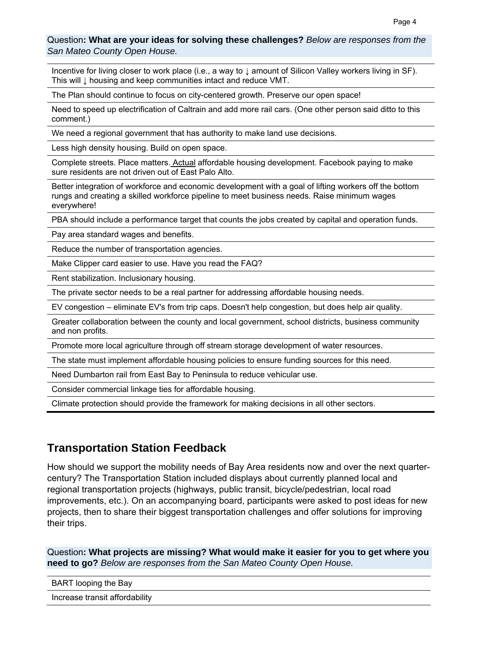### Question**: What are your ideas for solving these challenges?** *Below are responses from the San Mateo County Open House.*

Incentive for living closer to work place (i.e., a way to ↓ amount of Silicon Valley workers living in SF). This will ↓ housing and keep communities intact and reduce VMT.

The Plan should continue to focus on city-centered growth. Preserve our open space!

Need to speed up electrification of Caltrain and add more rail cars. (One other person said ditto to this comment.)

We need a regional government that has authority to make land use decisions.

Less high density housing. Build on open space.

Complete streets. Place matters. Actual affordable housing development. Facebook paying to make sure residents are not driven out of East Palo Alto.

Better integration of workforce and economic development with a goal of lifting workers off the bottom rungs and creating a skilled workforce pipeline to meet business needs. Raise minimum wages everywhere!

PBA should include a performance target that counts the jobs created by capital and operation funds.

Pay area standard wages and benefits.

Reduce the number of transportation agencies.

Make Clipper card easier to use. Have you read the FAQ?

Rent stabilization. Inclusionary housing.

The private sector needs to be a real partner for addressing affordable housing needs.

EV congestion – eliminate EV's from trip caps. Doesn't help congestion, but does help air quality.

Greater collaboration between the county and local government, school districts, business community and non profits.

Promote more local agriculture through off stream storage development of water resources.

The state must implement affordable housing policies to ensure funding sources for this need.

Need Dumbarton rail from East Bay to Peninsula to reduce vehicular use.

Consider commercial linkage ties for affordable housing.

Climate protection should provide the framework for making decisions in all other sectors.

### **Transportation Station Feedback**

How should we support the mobility needs of Bay Area residents now and over the next quartercentury? The Transportation Station included displays about currently planned local and regional transportation projects (highways, public transit, bicycle/pedestrian, local road improvements, etc.). On an accompanying board, participants were asked to post ideas for new projects, then to share their biggest transportation challenges and offer solutions for improving their trips.

Question**: What projects are missing? What would make it easier for you to get where you need to go?** *Below are responses from the San Mateo County Open House.*

BART looping the Bay

Increase transit affordability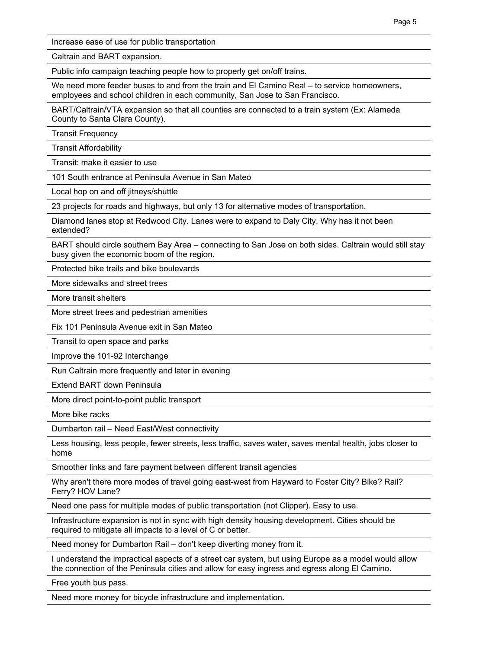Increase ease of use for public transportation

Caltrain and BART expansion.

Public info campaign teaching people how to properly get on/off trains.

We need more feeder buses to and from the train and El Camino Real – to service homeowners, employees and school children in each community, San Jose to San Francisco.

BART/Caltrain/VTA expansion so that all counties are connected to a train system (Ex: Alameda County to Santa Clara County).

Transit Frequency

Transit Affordability

Transit: make it easier to use

101 South entrance at Peninsula Avenue in San Mateo

Local hop on and off jitneys/shuttle

23 projects for roads and highways, but only 13 for alternative modes of transportation.

Diamond lanes stop at Redwood City. Lanes were to expand to Daly City. Why has it not been extended?

BART should circle southern Bay Area – connecting to San Jose on both sides. Caltrain would still stay busy given the economic boom of the region.

Protected bike trails and bike boulevards

More sidewalks and street trees

More transit shelters

More street trees and pedestrian amenities

Fix 101 Peninsula Avenue exit in San Mateo

Transit to open space and parks

Improve the 101-92 Interchange

Run Caltrain more frequently and later in evening

Extend BART down Peninsula

More direct point-to-point public transport

More bike racks

Dumbarton rail – Need East/West connectivity

Less housing, less people, fewer streets, less traffic, saves water, saves mental health, jobs closer to home

Smoother links and fare payment between different transit agencies

Why aren't there more modes of travel going east-west from Hayward to Foster City? Bike? Rail? Ferry? HOV Lane?

Need one pass for multiple modes of public transportation (not Clipper). Easy to use.

Infrastructure expansion is not in sync with high density housing development. Cities should be required to mitigate all impacts to a level of C or better.

Need money for Dumbarton Rail – don't keep diverting money from it.

I understand the impractical aspects of a street car system, but using Europe as a model would allow the connection of the Peninsula cities and allow for easy ingress and egress along El Camino.

Free youth bus pass.

Need more money for bicycle infrastructure and implementation.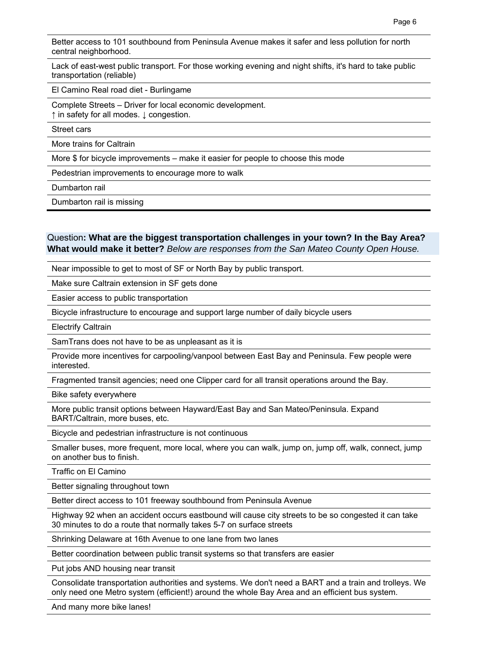Better access to 101 southbound from Peninsula Avenue makes it safer and less pollution for north central neighborhood.

Lack of east-west public transport. For those working evening and night shifts, it's hard to take public transportation (reliable)

El Camino Real road diet - Burlingame

Complete Streets – Driver for local economic development. ↑ in safety for all modes. ↓ congestion.

Street cars

More trains for Caltrain

More \$ for bicycle improvements – make it easier for people to choose this mode

Pedestrian improvements to encourage more to walk

Dumbarton rail

Dumbarton rail is missing

### Question**: What are the biggest transportation challenges in your town? In the Bay Area? What would make it better?** *Below are responses from the San Mateo County Open House.*

Near impossible to get to most of SF or North Bay by public transport.

Make sure Caltrain extension in SF gets done

Easier access to public transportation

Bicycle infrastructure to encourage and support large number of daily bicycle users

Electrify Caltrain

SamTrans does not have to be as unpleasant as it is

Provide more incentives for carpooling/vanpool between East Bay and Peninsula. Few people were interested.

Fragmented transit agencies; need one Clipper card for all transit operations around the Bay.

Bike safety everywhere

More public transit options between Hayward/East Bay and San Mateo/Peninsula. Expand BART/Caltrain, more buses, etc.

Bicycle and pedestrian infrastructure is not continuous

Smaller buses, more frequent, more local, where you can walk, jump on, jump off, walk, connect, jump on another bus to finish.

Traffic on El Camino

Better signaling throughout town

Better direct access to 101 freeway southbound from Peninsula Avenue

Highway 92 when an accident occurs eastbound will cause city streets to be so congested it can take 30 minutes to do a route that normally takes 5-7 on surface streets

Shrinking Delaware at 16th Avenue to one lane from two lanes

Better coordination between public transit systems so that transfers are easier

Put jobs AND housing near transit

Consolidate transportation authorities and systems. We don't need a BART and a train and trolleys. We only need one Metro system (efficient!) around the whole Bay Area and an efficient bus system.

And many more bike lanes!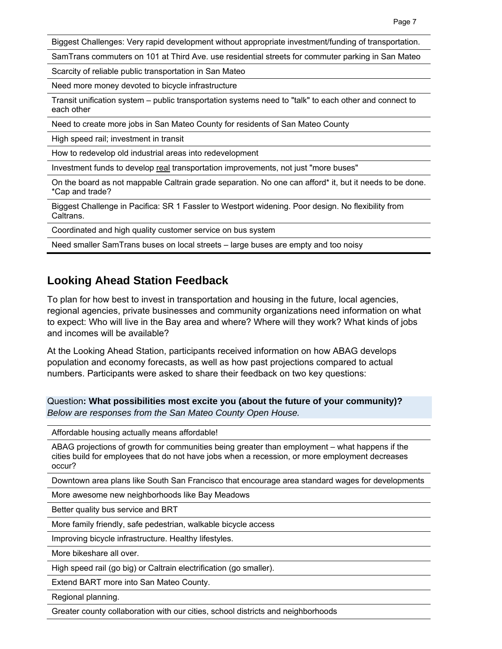Biggest Challenges: Very rapid development without appropriate investment/funding of transportation.

SamTrans commuters on 101 at Third Ave. use residential streets for commuter parking in San Mateo

Scarcity of reliable public transportation in San Mateo

Need more money devoted to bicycle infrastructure

Transit unification system – public transportation systems need to "talk" to each other and connect to each other

Need to create more jobs in San Mateo County for residents of San Mateo County

High speed rail; investment in transit

How to redevelop old industrial areas into redevelopment

Investment funds to develop real transportation improvements, not just "more buses"

On the board as not mappable Caltrain grade separation. No one can afford\* it, but it needs to be done. \*Cap and trade?

Biggest Challenge in Pacifica: SR 1 Fassler to Westport widening. Poor design. No flexibility from Caltrans.

Coordinated and high quality customer service on bus system

Need smaller SamTrans buses on local streets – large buses are empty and too noisy

## **Looking Ahead Station Feedback**

To plan for how best to invest in transportation and housing in the future, local agencies, regional agencies, private businesses and community organizations need information on what to expect: Who will live in the Bay area and where? Where will they work? What kinds of jobs and incomes will be available?

At the Looking Ahead Station, participants received information on how ABAG develops population and economy forecasts, as well as how past projections compared to actual numbers. Participants were asked to share their feedback on two key questions:

Question**: What possibilities most excite you (about the future of your community)?**  *Below are responses from the San Mateo County Open House.*

Affordable housing actually means affordable!

ABAG projections of growth for communities being greater than employment – what happens if the cities build for employees that do not have jobs when a recession, or more employment decreases occur?

Downtown area plans like South San Francisco that encourage area standard wages for developments

More awesome new neighborhoods like Bay Meadows

Better quality bus service and BRT

More family friendly, safe pedestrian, walkable bicycle access

Improving bicycle infrastructure. Healthy lifestyles.

More bikeshare all over.

High speed rail (go big) or Caltrain electrification (go smaller).

Extend BART more into San Mateo County.

Regional planning.

Greater county collaboration with our cities, school districts and neighborhoods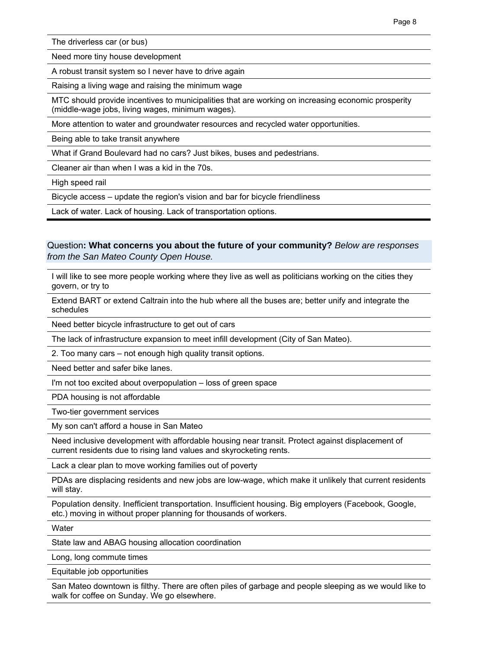The driverless car (or bus)

Need more tiny house development

A robust transit system so I never have to drive again

Raising a living wage and raising the minimum wage

MTC should provide incentives to municipalities that are working on increasing economic prosperity (middle-wage jobs, living wages, minimum wages).

More attention to water and groundwater resources and recycled water opportunities.

Being able to take transit anywhere

What if Grand Boulevard had no cars? Just bikes, buses and pedestrians.

Cleaner air than when I was a kid in the 70s.

High speed rail

Bicycle access – update the region's vision and bar for bicycle friendliness

Lack of water. Lack of housing. Lack of transportation options.

### Question**: What concerns you about the future of your community?** *Below are responses from the San Mateo County Open House.*

I will like to see more people working where they live as well as politicians working on the cities they govern, or try to

Extend BART or extend Caltrain into the hub where all the buses are; better unify and integrate the schedules

Need better bicycle infrastructure to get out of cars

The lack of infrastructure expansion to meet infill development (City of San Mateo).

2. Too many cars – not enough high quality transit options.

Need better and safer bike lanes.

I'm not too excited about overpopulation – loss of green space

PDA housing is not affordable

Two-tier government services

My son can't afford a house in San Mateo

Need inclusive development with affordable housing near transit. Protect against displacement of current residents due to rising land values and skyrocketing rents.

Lack a clear plan to move working families out of poverty

PDAs are displacing residents and new jobs are low-wage, which make it unlikely that current residents will stay.

Population density. Inefficient transportation. Insufficient housing. Big employers (Facebook, Google, etc.) moving in without proper planning for thousands of workers.

**Water** 

State law and ABAG housing allocation coordination

Long, long commute times

Equitable job opportunities

San Mateo downtown is filthy. There are often piles of garbage and people sleeping as we would like to walk for coffee on Sunday. We go elsewhere.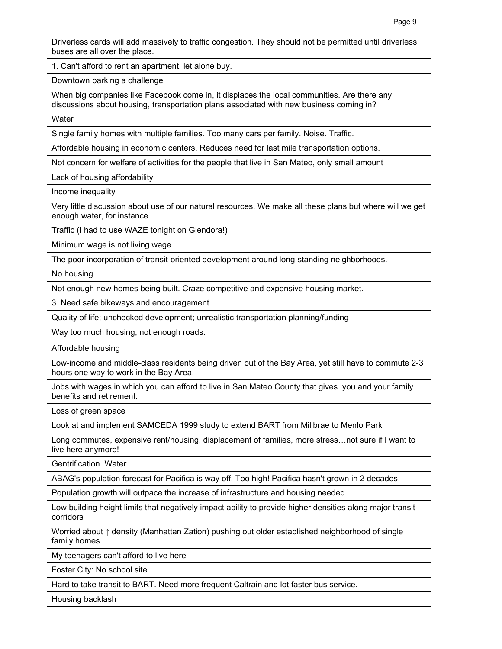Driverless cards will add massively to traffic congestion. They should not be permitted until driverless buses are all over the place.

1. Can't afford to rent an apartment, let alone buy.

Downtown parking a challenge

When big companies like Facebook come in, it displaces the local communities. Are there any discussions about housing, transportation plans associated with new business coming in?

Water

Single family homes with multiple families. Too many cars per family. Noise. Traffic.

Affordable housing in economic centers. Reduces need for last mile transportation options.

Not concern for welfare of activities for the people that live in San Mateo, only small amount

Lack of housing affordability

Income inequality

Very little discussion about use of our natural resources. We make all these plans but where will we get enough water, for instance.

Traffic (I had to use WAZE tonight on Glendora!)

Minimum wage is not living wage

The poor incorporation of transit-oriented development around long-standing neighborhoods.

No housing

Not enough new homes being built. Craze competitive and expensive housing market.

3. Need safe bikeways and encouragement.

Quality of life; unchecked development; unrealistic transportation planning/funding

Way too much housing, not enough roads.

Affordable housing

Low-income and middle-class residents being driven out of the Bay Area, yet still have to commute 2-3 hours one way to work in the Bay Area.

Jobs with wages in which you can afford to live in San Mateo County that gives you and your family benefits and retirement.

Loss of green space

Look at and implement SAMCEDA 1999 study to extend BART from Millbrae to Menlo Park

Long commutes, expensive rent/housing, displacement of families, more stress…not sure if I want to live here anymore!

Gentrification. Water.

ABAG's population forecast for Pacifica is way off. Too high! Pacifica hasn't grown in 2 decades.

Population growth will outpace the increase of infrastructure and housing needed

Low building height limits that negatively impact ability to provide higher densities along major transit corridors

Worried about ↑ density (Manhattan Zation) pushing out older established neighborhood of single family homes.

My teenagers can't afford to live here

Foster City: No school site.

Hard to take transit to BART. Need more frequent Caltrain and lot faster bus service.

Housing backlash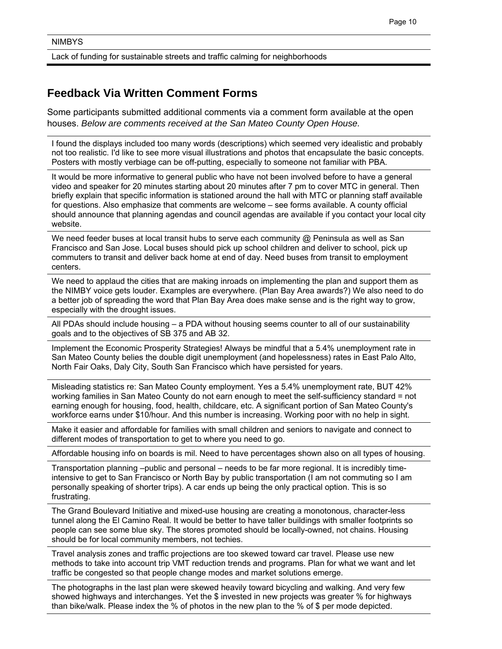Lack of funding for sustainable streets and traffic calming for neighborhoods

## **Feedback Via Written Comment Forms**

Some participants submitted additional comments via a comment form available at the open houses. *Below are comments received at the San Mateo County Open House.*

I found the displays included too many words (descriptions) which seemed very idealistic and probably not too realistic. I'd like to see more visual illustrations and photos that encapsulate the basic concepts. Posters with mostly verbiage can be off-putting, especially to someone not familiar with PBA.

It would be more informative to general public who have not been involved before to have a general video and speaker for 20 minutes starting about 20 minutes after 7 pm to cover MTC in general. Then briefly explain that specific information is stationed around the hall with MTC or planning staff available for questions. Also emphasize that comments are welcome – see forms available. A county official should announce that planning agendas and council agendas are available if you contact your local city website.

We need feeder buses at local transit hubs to serve each community @ Peninsula as well as San Francisco and San Jose. Local buses should pick up school children and deliver to school, pick up commuters to transit and deliver back home at end of day. Need buses from transit to employment centers.

We need to applaud the cities that are making inroads on implementing the plan and support them as the NIMBY voice gets louder. Examples are everywhere. (Plan Bay Area awards?) We also need to do a better job of spreading the word that Plan Bay Area does make sense and is the right way to grow, especially with the drought issues.

All PDAs should include housing – a PDA without housing seems counter to all of our sustainability goals and to the objectives of SB 375 and AB 32.

Implement the Economic Prosperity Strategies! Always be mindful that a 5.4% unemployment rate in San Mateo County belies the double digit unemployment (and hopelessness) rates in East Palo Alto, North Fair Oaks, Daly City, South San Francisco which have persisted for years.

Misleading statistics re: San Mateo County employment. Yes a 5.4% unemployment rate, BUT 42% working families in San Mateo County do not earn enough to meet the self-sufficiency standard = not earning enough for housing, food, health, childcare, etc. A significant portion of San Mateo County's workforce earns under \$10/hour. And this number is increasing. Working poor with no help in sight.

Make it easier and affordable for families with small children and seniors to navigate and connect to different modes of transportation to get to where you need to go.

Affordable housing info on boards is mil. Need to have percentages shown also on all types of housing.

Transportation planning –public and personal – needs to be far more regional. It is incredibly timeintensive to get to San Francisco or North Bay by public transportation (I am not commuting so I am personally speaking of shorter trips). A car ends up being the only practical option. This is so frustrating.

The Grand Boulevard Initiative and mixed-use housing are creating a monotonous, character-less tunnel along the El Camino Real. It would be better to have taller buildings with smaller footprints so people can see some blue sky. The stores promoted should be locally-owned, not chains. Housing should be for local community members, not techies.

Travel analysis zones and traffic projections are too skewed toward car travel. Please use new methods to take into account trip VMT reduction trends and programs. Plan for what we want and let traffic be congested so that people change modes and market solutions emerge.

The photographs in the last plan were skewed heavily toward bicycling and walking. And very few showed highways and interchanges. Yet the \$ invested in new projects was greater % for highways than bike/walk. Please index the % of photos in the new plan to the % of \$ per mode depicted.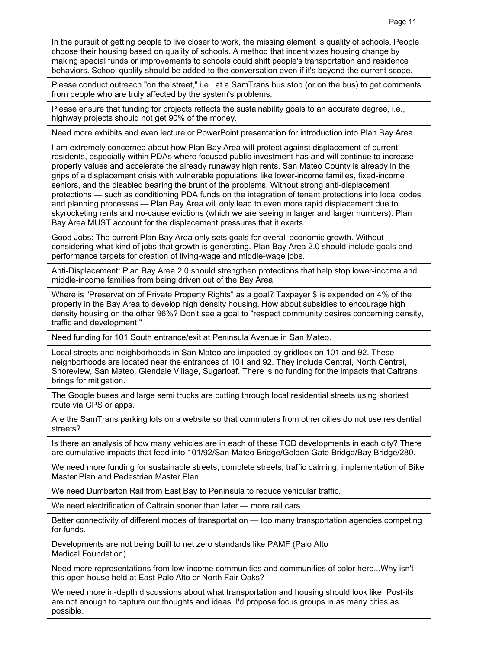In the pursuit of getting people to live closer to work, the missing element is quality of schools. People choose their housing based on quality of schools. A method that incentivizes housing change by making special funds or improvements to schools could shift people's transportation and residence behaviors. School quality should be added to the conversation even if it's beyond the current scope.

Please conduct outreach "on the street," i.e., at a SamTrans bus stop (or on the bus) to get comments from people who are truly affected by the system's problems.

Please ensure that funding for projects reflects the sustainability goals to an accurate degree, i.e., highway projects should not get 90% of the money.

Need more exhibits and even lecture or PowerPoint presentation for introduction into Plan Bay Area.

I am extremely concerned about how Plan Bay Area will protect against displacement of current residents, especially within PDAs where focused public investment has and will continue to increase property values and accelerate the already runaway high rents. San Mateo County is already in the grips of a displacement crisis with vulnerable populations like lower-income families, fixed-income seniors, and the disabled bearing the brunt of the problems. Without strong anti-displacement protections — such as conditioning PDA funds on the integration of tenant protections into local codes and planning processes — Plan Bay Area will only lead to even more rapid displacement due to skyrocketing rents and no-cause evictions (which we are seeing in larger and larger numbers). Plan Bay Area MUST account for the displacement pressures that it exerts.

Good Jobs: The current Plan Bay Area only sets goals for overall economic growth. Without considering what kind of jobs that growth is generating. Plan Bay Area 2.0 should include goals and performance targets for creation of living-wage and middle-wage jobs.

Anti-Displacement: Plan Bay Area 2.0 should strengthen protections that help stop lower-income and middle-income families from being driven out of the Bay Area.

Where is "Preservation of Private Property Rights" as a goal? Taxpayer \$ is expended on 4% of the property in the Bay Area to develop high density housing. How about subsidies to encourage high density housing on the other 96%? Don't see a goal to "respect community desires concerning density, traffic and development!"

Need funding for 101 South entrance/exit at Peninsula Avenue in San Mateo.

Local streets and neighborhoods in San Mateo are impacted by gridlock on 101 and 92. These neighborhoods are located near the entrances of 101 and 92. They include Central, North Central, Shoreview, San Mateo, Glendale Village, Sugarloaf. There is no funding for the impacts that Caltrans brings for mitigation.

The Google buses and large semi trucks are cutting through local residential streets using shortest route via GPS or apps.

Are the SamTrans parking lots on a website so that commuters from other cities do not use residential streets?

Is there an analysis of how many vehicles are in each of these TOD developments in each city? There are cumulative impacts that feed into 101/92/San Mateo Bridge/Golden Gate Bridge/Bay Bridge/280.

We need more funding for sustainable streets, complete streets, traffic calming, implementation of Bike Master Plan and Pedestrian Master Plan.

We need Dumbarton Rail from East Bay to Peninsula to reduce vehicular traffic.

We need electrification of Caltrain sooner than later — more rail cars.

Better connectivity of different modes of transportation — too many transportation agencies competing for funds.

Developments are not being built to net zero standards like PAMF (Palo Alto Medical Foundation).

Need more representations from low-income communities and communities of color here...Why isn't this open house held at East Palo Alto or North Fair Oaks?

We need more in-depth discussions about what transportation and housing should look like. Post-its are not enough to capture our thoughts and ideas. I'd propose focus groups in as many cities as possible.